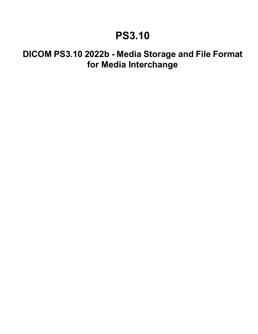# **PS3.10**

# **DICOM PS3.10 2022b - Media Storage and File Format for Media Interchange**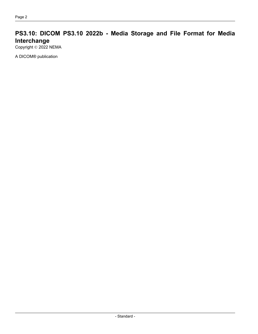# **PS3.10: DICOM PS3.10 2022b - Media Storage and File Format for Media Interchange**

Copyright © 2022 NEMA

A DICOM® publication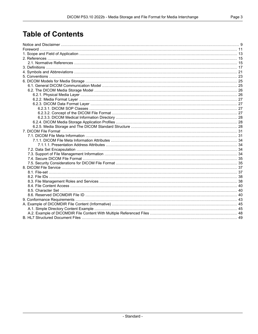# **Table of Contents**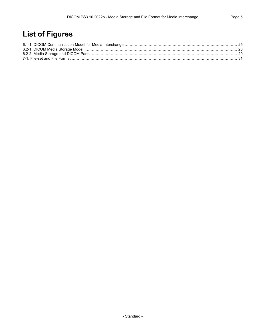# **List of Figures**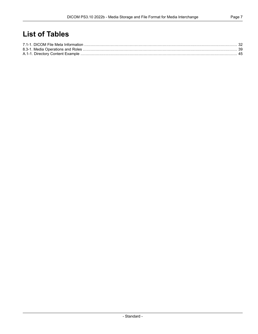# **List of Tables**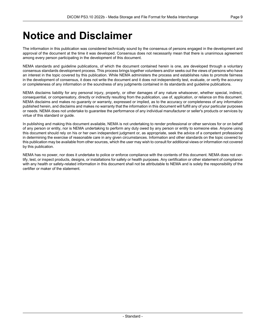# <span id="page-8-0"></span>**Notice and Disclaimer**

The information in this publication was considered technically sound by the consensus of persons engaged in the development and approval of the document at the time it was developed. Consensus does not necessarily mean that there is unanimous agreement among every person participating in the development of this document.

NEMA standards and guideline publications, of which the document contained herein is one, are developed through a voluntary consensus standards development process. This process brings together volunteers and/or seeks out the views of persons who have an interest in the topic covered by this publication. While NEMA administers the process and establishes rules to promote fairness in the development of consensus, it does not write the document and it does not independently test, evaluate, or verify the accuracy or completeness of any information or the soundness of any judgments contained in its standards and guideline publications.

NEMA disclaims liability for any personal injury, property, or other damages of any nature whatsoever, whether special, indirect, consequential, or compensatory, directly or indirectly resulting from the publication, use of, application, or reliance on this document. NEMA disclaims and makes no guaranty or warranty, expressed or implied, as to the accuracy or completeness of any information published herein, and disclaims and makes no warranty that the information in this document will fulfill any of your particular purposes or needs. NEMA does not undertake to guarantee the performance of any individual manufacturer or seller's products or services by virtue of this standard or guide.

In publishing and making this document available, NEMA is not undertaking to render professional or other services for or on behalf of any person or entity, nor is NEMA undertaking to perform any duty owed by any person or entity to someone else. Anyone using this document should rely on his or her own independent judgment or, as appropriate, seek the advice of a competent professional in determining the exercise of reasonable care in any given circumstances. Information and other standards on the topic covered by this publication may be available from other sources, which the user may wish to consult for additional views or information not covered by this publication.

NEMA has no power, nor does it undertake to police or enforce compliance with the contents of this document. NEMA does not cer tify, test, or inspect products, designs, or installations for safety or health purposes. Any certification or other statement of compliance with any health or safety-related information in this document shall not be attributable to NEMA and is solely the responsibility of the certifier or maker of the statement.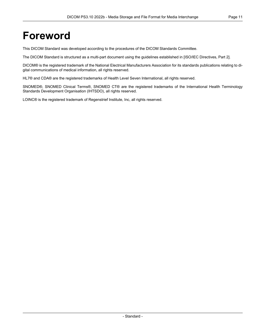# <span id="page-10-0"></span>**Foreword**

This DICOM Standard was developed according to the procedures of the DICOM Standards Committee.

The DICOM Standard is structured as a multi-part document using the guidelines established in [ISO/IEC [Directives,](#page-14-2) Part 2].

DICOM® is the registered trademark of the National Electrical Manufacturers Association for its standards publications relating to di gital communications of medical information, all rights reserved.

HL7® and CDA® are the registered trademarks of Health Level Seven International, all rights reserved.

SNOMED®, SNOMED Clinical Terms®, SNOMED CT® are the registered trademarks of the International Health Terminology Standards Development Organisation (IHTSDO), all rights reserved.

LOINC® is the registered trademark of Regenstrief Institute, Inc, all rights reserved.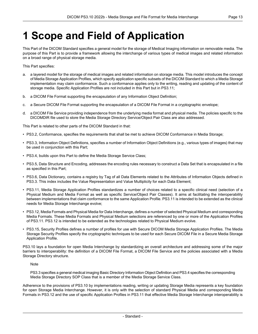# <span id="page-12-0"></span>**1 Scope and Field of Application**

This Part of the DICOM Standard specifies a general model for the storage of Medical Imaging information on removable media. The purpose of this Part is to provide a framework allowing the interchange of various types of medical images and related information on a broad range of physical storage media.

This Part specifies:

- a. a layered model for the storage of medical images and related information on storage media. This model introduces the concept of Media Storage Application Profiles, which specify application specific subsets of the DICOM Standard to which a Media Storage implementation may claim conformance. Such a conformance applies only to the writing, reading and updating of the content of storage media. Specific Application Profiles are not included in this Part but in [PS3.11](part11.pdf#PS3.11);
- b. a DICOM File Format supporting the encapsulation of any Information Object Definition;
- c. a Secure DICOM File Format supporting the encapsulation of a DICOM File Format in a cryptographic envelope;
- d. a DICOM File Service providing independence from the underlying media format and physical media. The policies specific to the DICOMDIR file used to store the Media Storage Directory Service/Object Pair Class are also addressed.

This Part is related to other parts of the DICOM Standard in that:

- [PS3.2](part02.pdf#PS3.2), Conformance, specifies the requirements that shall be met to achieve DICOM Conformance in Media Storage;
- [PS3.3](part03.pdf#PS3.3), Information Object Definitions, specifies a number of Information Object Definitions (e.g., various types of images) that may be used in conjunction with this Part;
- [PS3.4](part04.pdf#PS3.4), builds upon this Part to define the Media Storage Service Class;
- [PS3.5](part05.pdf#PS3.5), Data Structure and Encoding, addresses the encoding rules necessary to construct a Data Set that is encapsulated in a file as specified in this Part;
- [PS3.6](part06.pdf#PS3.6), Data Dictionary, contains a registry by Tag of all Data Elements related to the Attributes of Information Objects defined in [PS3.3](part03.pdf#PS3.3). This index includes the Value Representation and Value Multiplicity for each Data Element;
- [PS3.11](part11.pdf#PS3.11), Media Storage Application Profiles standardizes a number of choices related to a specific clinical need (selection of a Physical Medium and Media Format as well as specific Service/Object Pair Classes). It aims at facilitating the interoperability between implementations that claim conformance to the same Application Profile. [PS3.11](part11.pdf#PS3.11) is intended to be extended as the clinical needs for Media Storage Interchange evolve;
- [PS3.12](part12.pdf#PS3.12), Media Formats and Physical Media for Data Interchange, defines a number of selected Physical Medium and corresponding Media Formats. These Media Formats and Physical Medium selections are referenced by one or more of the Application Profiles of [PS3.11](part11.pdf#PS3.11). [PS3.12](part12.pdf#PS3.12) is intended to be extended as the technologies related to Physical Medium evolve.
- [PS3.15](part15.pdf#PS3.15), Security Profiles defines a number of profiles for use with Secure DICOM Media Storage Application Profiles. The Media Storage Security Profiles specify the cryptographic techniques to be used for each Secure DICOM File in a Secure Media Storage Application Profile.

PS3.10 lays a foundation for open Media Interchange by standardizing an overall architecture and addressing some of the major barriers to interoperability: the definition of a DICOM File Format, a DICOM File Service and the policies associated with a Media Storage Directory structure.

Note

[PS3.3](part03.pdf#PS3.3) specifies a general medical imaging Basic Directory Information Object Definition and [PS3.4](part04.pdf#PS3.4) specifies the corresponding Media Storage Directory SOP Class that is a member of the Media Storage Service Class.

Adherence to the provisions of PS3.10 by implementations reading, writing or updating Storage Media represents a key foundation for open Storage Media Interchange. However, it is only with the selection of standard Physical Media and corresponding Media Formats in [PS3.12](part12.pdf#PS3.12) and the use of specific Application Profiles in [PS3.11](part11.pdf#PS3.11) that effective Media Storage Interchange interoperability is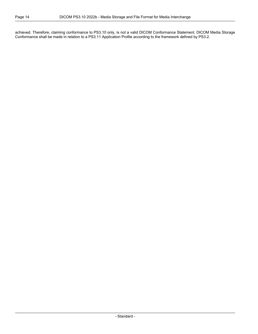achieved. Therefore, claiming conformance to PS3.10 only, is not a valid DICOM Conformance Statement. DICOM Media Storage Conformance shall be made in relation to a [PS3.11](part11.pdf#PS3.11) Application Profile according to the framework defined by [PS3.2.](part02.pdf#PS3.2)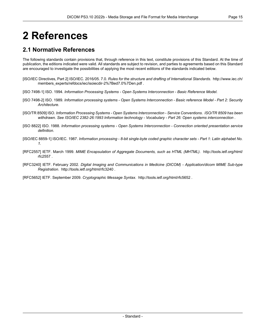# <span id="page-14-0"></span>**2 References**

# <span id="page-14-1"></span>**2.1 Normative References**

The following standards contain provisions that, through reference in this text, constitute provisions of this Standard. At the time of publication, the editions indicated were valid. All standards are subject to revision, and parties to agreements based on this Standard are encouraged to investigate the possibilities of applying the most recent editions of the standards indicated below.

- <span id="page-14-3"></span><span id="page-14-2"></span>[ISO/IEC Directives, Part 2] ISO/IEC. 2016/05. 7.0. *Rules for the structure and drafting of International Standards*. [http://www.iec.ch/](http://www.iec.ch/members_experts/refdocs/iec/isoiecdir-2%7Bed7.0%7Den.pdf) [members\\_experts/refdocs/iec/isoiecdir-2%7Bed7.0%7Den.pdf](http://www.iec.ch/members_experts/refdocs/iec/isoiecdir-2%7Bed7.0%7Den.pdf) .
- <span id="page-14-4"></span>[ISO 7498-1] ISO. 1994. *Information Processing Systems - Open Systems Interconnection - Basic Reference Model*.
- <span id="page-14-5"></span>[ISO 7498-2] ISO. 1989. Information processing systems - Open Systems Interconnection - Basic reference Model - Part 2: Security *Architecture*.
- <span id="page-14-6"></span>[ISO/TR 8509] ISO. *Information Processing Systems - Open Systems Interconnection - Service Conventions*. *ISO/TR 8509 has been withdrawn. See ISO/IEC 2382-26:1993 Information technology - Vocabulary - Part 26: Open systems interconnection* .
- [ISO 8822] ISO. 1988. *Information processing systems - Open Systems Interconnection - Connection oriented presentation service definition*.
- [ISO/IEC 8859-1] ISO/IEC. 1987. Information processing 8-bit single-byte coded graphic character sets Part 1: Latin alphabet No. *1*.
- <span id="page-14-8"></span>[RFC2557] IETF. March 1999. *MIME Encapsulation of Aggregate Documents, such as HTML (MHTML)*. [http://tools.ietf.org/html/](http://tools.ietf.org/html/rfc2557) [rfc2557](http://tools.ietf.org/html/rfc2557) .
- <span id="page-14-7"></span>[RFC3240] IETF. February 2002. *Digital Imaging and Communications in Medicine (DICOM) - Application/dicom MIME Sub-type Registration*. <http://tools.ietf.org/html/rfc3240> .

[RFC5652] IETF. September 2009. *Cryptographic Message Syntax*. <http://tools.ietf.org/html/rfc5652> .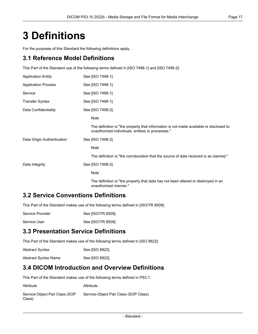# <span id="page-16-0"></span>**3 Definitions**

For the purposes of this Standard the following definitions apply.

### **3.1 Reference Model Definitions**

This Part of the Standard use of the following terms defined in [ISO [7498-1\]](#page-14-3) and [ISO [7498-2\]](#page-14-4):

| <b>Application Entity</b>  | See [ISO 7498-1].                                                                                                                           |
|----------------------------|---------------------------------------------------------------------------------------------------------------------------------------------|
| <b>Application Process</b> | See [ISO 7498-1].                                                                                                                           |
| Service                    | See [ISO 7498-1].                                                                                                                           |
| <b>Transfer Syntax</b>     | See [ISO 7498-1].                                                                                                                           |
| Data Confidentiality       | See [ISO 7498-2].                                                                                                                           |
|                            | Note                                                                                                                                        |
|                            | The definition is "the property that information is not made available or disclosed to<br>unauthorized individuals, entities or processes." |
| Data Origin Authentication | See [ISO 7498-2].                                                                                                                           |
|                            | <b>Note</b>                                                                                                                                 |
|                            | The definition is "the corroboration that the source of data received is as claimed."                                                       |
| Data Integrity             | See [ISO 7498-2].                                                                                                                           |
|                            | Note                                                                                                                                        |
|                            | The definition is "the property that data has not been altered or destroyed in an<br>unauthorized manner."                                  |

### **3.2 Service Conventions Definitions**

This Part of the Standard makes use of the following terms defined in [\[ISO/TR](#page-14-5) 8509]:

| Service Provider | See [ISO/TR 8509]. |
|------------------|--------------------|
|                  |                    |

Service User See [\[ISO/TR](#page-14-5) 8509].

# **3.3 Presentation Service Definitions**

This Part of the Standard makes use of the following terms defined in [ISO [8822\]](#page-14-6):

| <b>Abstract Syntax</b> | See [ISO 8822]. |
|------------------------|-----------------|
| Abstract Syntax Name   | See [ISO 8822]. |

### **3.4 DICOM Introduction and Overview Definitions**

This Part of the Standard makes use of the following terms defined in [PS3.1:](part01.pdf#PS3.1)

| Attribute                                | Attribute.                             |
|------------------------------------------|----------------------------------------|
| Service-Object Pair Class (SOP<br>Class) | Service-Object Pair Class (SOP Class). |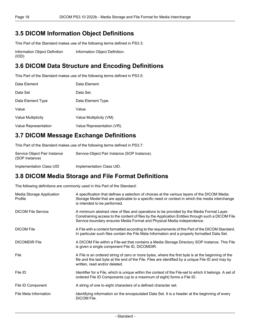# **3.5 DICOM Information Object Definitions**

This Part of the Standard makes use of the following terms defined in [PS3.3:](part03.pdf#PS3.3)

Information Object Definition (IOD) [Information](part03.pdf#glossentry_InformationObjectDefinition) Object Definition.

# **3.6 DICOM Data Structure and Encoding Definitions**

This Part of the Standard makes use of the following terms defined in [PS3.5:](part05.pdf#PS3.5)

| Data Element         | Data Element.              |
|----------------------|----------------------------|
| Data Set             | Data Set.                  |
| Data Element Type    | Data Element Type.         |
| Value                | Value.                     |
| Value Multiplicity   | Value Multiplicity (VM).   |
| Value Representation | Value Representation (VR). |

# **3.7 DICOM Message Exchange Definitions**

This Part of the Standard makes use of the following terms defined in [PS3.7:](part07.pdf#PS3.7)

| Service Object Pair Instance<br>(SOP Instance) | Service-Object Pair Instance (SOP Instance). |
|------------------------------------------------|----------------------------------------------|
| Implementation Class UID                       | Implementation Class UID.                    |

# **3.8 DICOM Media Storage and File Format Definitions**

The following definitions are commonly used in this Part of the Standard:

| Media Storage Application<br>Profile | A specification that defines a selection of choices at the various layers of the DICOM Media<br>Storage Model that are applicable to a specific need or context in which the media interchange<br>is intended to be performed.                                           |
|--------------------------------------|--------------------------------------------------------------------------------------------------------------------------------------------------------------------------------------------------------------------------------------------------------------------------|
| <b>DICOM File Service</b>            | A minimum abstract view of files and operations to be provided by the Media Format Layer.<br>Constraining access to the content of files by the Application Entities through such a DICOM File<br>Service boundary ensures Media Format and Physical Media independence. |
| <b>DICOM File</b>                    | A File with a content formatted according to the requirements of this Part of the DICOM Standard.<br>In particular such files contain the File Meta Information and a properly formatted Data Set.                                                                       |
| <b>DICOMDIR File</b>                 | A DICOM File within a File-set that contains a Media Storage Directory SOP Instance. This File<br>is given a single component File ID, DICOMDIR.                                                                                                                         |
| File                                 | A File is an ordered string of zero or more bytes, where the first byte is at the beginning of the<br>file and the last byte at the end of the File. Files are identified by a unique File ID and may by<br>written, read and/or deleted.                                |
| File ID                              | Identifier for a File, which is unique within the context of the File-set to which it belongs. A set of<br>ordered File ID Components (up to a maximum of eight) forms a File ID.                                                                                        |
| File ID Component                    | A string of one to eight characters of a defined character set.                                                                                                                                                                                                          |
| File Meta Information                | Identifying information on the encapsulated Data Set. It is a header at the beginning of every<br>DICOM File.                                                                                                                                                            |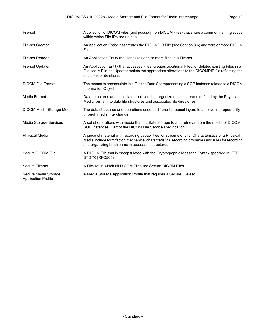| File-set                                           | A collection of DICOM Files (and possibly non-DICOM Files) that share a common naming space<br>within which File IDs are unique.                                                                                                                                 |
|----------------------------------------------------|------------------------------------------------------------------------------------------------------------------------------------------------------------------------------------------------------------------------------------------------------------------|
| <b>File-set Creator</b>                            | An Application Entity that creates the DICOMDIR File (see Section 8.6) and zero or more DICOM<br>Files.                                                                                                                                                          |
| <b>File-set Reader</b>                             | An Application Entity that accesses one or more files in a File-set.                                                                                                                                                                                             |
| File-set Updater                                   | An Application Entity that accesses Files, creates additional Files, or deletes existing Files in a<br>File-set. A File-set Updater makes the appropriate alterations to the DICOMDIR file reflecting the<br>additions or deletions.                             |
| <b>DICOM File Format</b>                           | The means to encapsulate in a File the Data Set representing a SOP Instance related to a DICOM<br>Information Object.                                                                                                                                            |
| Media Format                                       | Data structures and associated policies that organize the bit streams defined by the Physical<br>Media format into data file structures and associated file directories.                                                                                         |
| <b>DICOM Media Storage Model</b>                   | The data structures and operations used at different protocol layers to achieve interoperability<br>through media interchange.                                                                                                                                   |
| Media Storage Services                             | A set of operations with media that facilitate storage to and retrieval from the media of DICOM<br>SOP Instances. Part of the DICOM File Service specification.                                                                                                  |
| <b>Physical Media</b>                              | A piece of material with recording capabilities for streams of bits. Characteristics of a Physical<br>Media include form factor, mechanical characteristics, recording properties and rules for recording<br>and organizing bit streams in accessible structures |
| Secure DICOM File                                  | A DICOM File that is encapsulated with the Cryptographic Message Syntax specified in IETF<br>STD 70 [RFC5652].                                                                                                                                                   |
| Secure File-set                                    | A File-set in which all DICOM Files are Secure DICOM Files.                                                                                                                                                                                                      |
| Secure Media Storage<br><b>Application Profile</b> | A Media Storage Application Profile that requires a Secure File-set.                                                                                                                                                                                             |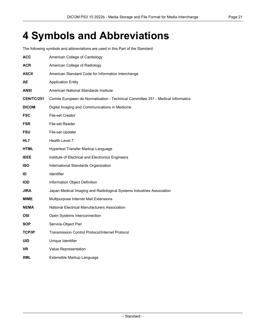# <span id="page-20-0"></span>**4 Symbols and Abbreviations**

The following symbols and abbreviations are used in this Part of the Standard.

| <b>ACC</b>        | American College of Cardiology                                                   |
|-------------------|----------------------------------------------------------------------------------|
| <b>ACR</b>        | American College of Radiology                                                    |
| ASCII             | American Standard Code for Information Interchange                               |
| <b>AE</b>         | <b>Application Entity</b>                                                        |
| ANSI              | American National Standards Institute                                            |
| <b>CEN/TC/251</b> | Comite Europeen de Normalisation - Technical Committee 251 - Medical Informatics |
| <b>DICOM</b>      | Digital Imaging and Communications in Medicine                                   |
| <b>FSC</b>        | <b>File-set Creator</b>                                                          |
| <b>FSR</b>        | File-set Reader                                                                  |
| <b>FSU</b>        | File-set Updater                                                                 |
| HL7               | Health Level 7                                                                   |
| HTML              | Hypertext Transfer Markup Language                                               |
| <b>IEEE</b>       | Institute of Electrical and Electronics Engineers                                |
| <b>ISO</b>        | International Standards Organization                                             |
| ID                | Identifier                                                                       |
| <b>IOD</b>        | Information Object Definition                                                    |
| <b>JIRA</b>       | Japan Medical Imaging and Radiological Systems Industries Association            |
| <b>MIME</b>       | Multipurpose Internet Mail Extensions                                            |
| <b>NEMA</b>       | National Electrical Manufacturers Association                                    |
| OSI               | Open Systems Interconnection                                                     |
| <b>SOP</b>        | Service-Object Pair                                                              |
| <b>TCP/IP</b>     | <b>Transmission Control Protocol/Internet Protocol</b>                           |
| <b>UID</b>        | Unique Identifier                                                                |
| <b>VR</b>         | Value Representation                                                             |
| <b>XML</b>        | Extensible Markup Language                                                       |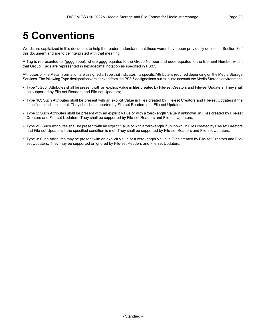# <span id="page-22-0"></span>**5 Conventions**

Words are capitalized in this document to help the reader understand that these words have been previously defined in Section 3 of this document and are to be interpreted with that meaning.

A Tag is represented as (gggg,eeee), where gggg equates to the Group Number and eeee equates to the Element Number within that Group. Tags are represented in hexadecimal notation as specified in [PS3.5.](part05.pdf#PS3.5)

Attributes of File Meta Information are assigned a Type that indicates if a specific Attribute is required depending on the Media Storage Services. The following Type designations are derived from the [PS3.5](part05.pdf#PS3.5) designations but take into account the Media Storage environment:

- Type 1: Such Attributes shall be present with an explicit Value in files created by File-set Creators and File-set Updaters. They shall be supported by File-set Readers and File-set Updaters;
- Type 1C: Such Attributes shall be present with an explicit Value in Files created by File-set Creators and File-set Updaters if the specified condition is met. They shall be supported by File-set Readers and File-set Updaters;
- Type 2: Such Attributes shall be present with an explicit Value or with a zero-length Value if unknown, in Files created by File-set Creators and File-set Updaters. They shall be supported by File-set Readers and File-set Updaters;
- Type 2C: Such Attributes shall be present with an explicit Value or with a zero-length if unknown, in Files created by File-set Creators and File-set Updaters if the specified condition is met. They shall be supported by File-set Readers and File-set Updaters;
- Type 3: Such Attributes may be present with an explicit Value or a zero-length Value in Files created by File-set Creators and File set Updaters. They may be supported or ignored by File-set Readers and File-set Updaters.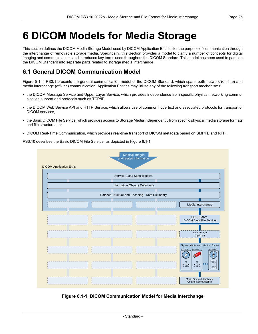# <span id="page-24-0"></span>**6 DICOM Models for Media Storage**

This section defines the DICOM Media Storage Model used by DICOM Application Entities for the purpose of communication through the interchange of removable storage media. Specifically, this Section provides a model to clarify a number of concepts for digital imaging and communications and introduces key terms used throughout the DICOM Standard. This model has been used to partition the DICOM Standard into separate parts related to storage media interchange.

# <span id="page-24-1"></span>**6.1 General DICOM Communication Model**

[Figure](part01.pdf#figure_5-1) 5-1 in PS3.1 presents the general communication model of the DICOM Standard, which spans both network (on-line) and media interchange (off-line) communication. Application Entities may utilize any of the following transport mechanisms:

- the DICOM Message Service and Upper Layer Service, which provides independence from specific physical networking commu nication support and protocols such as TCP/IP,
- the DICOM Web Service API and HTTP Service, which allows use of common hypertext and associated protocols for transport of DICOM services,
- the Basic DICOM File Service, which provides access to Storage Media independently from specific physical media storage formats and file structures, or
- <span id="page-24-2"></span>• DICOM Real-Time Communication, which provides real-time transport of DICOM metadata based on SMPTE and RTP.

PS3.10 describes the Basic DICOM File Service, as depicted in [Figure](#page-24-2) 6.1-1.

|                                 | <b>Medical Images</b><br>and related information |                                                                                                                                                                 |
|---------------------------------|--------------------------------------------------|-----------------------------------------------------------------------------------------------------------------------------------------------------------------|
| <b>DICOM Application Entity</b> |                                                  |                                                                                                                                                                 |
|                                 | <b>Service Class Specifications</b>              |                                                                                                                                                                 |
|                                 | Information Objects Definitions                  |                                                                                                                                                                 |
|                                 | Dataset Structure and Encoding - Data Dictionary |                                                                                                                                                                 |
|                                 |                                                  |                                                                                                                                                                 |
|                                 |                                                  | Media Interchange                                                                                                                                               |
|                                 |                                                  | <b>BOUNDARY:</b><br><b>DICOM Basic File Service</b>                                                                                                             |
|                                 |                                                  | Security Layer<br>(Optional)                                                                                                                                    |
|                                 |                                                  | Physical Medium and Medium Format<br><b>MEDIUM A</b><br><b>MEDIUM B</b><br>MEDIUM n<br>$(\bullet)$<br>๘<br>FILE><br>品<br>品<br><field><br/><file></file></field> |
|                                 |                                                  | Media Storage Interchange<br>Off-Line Communication                                                                                                             |

**Figure 6.1-1. DICOM Communication Model for Media Interchange**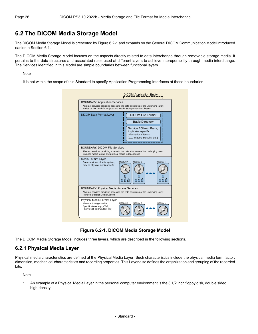### <span id="page-25-0"></span>**6.2 The DICOM Media Storage Model**

The DICOM Media Storage Model is presented by [Figure](#page-25-2) 6.2-1 and expands on the General DICOM Communication Model introduced earlier in [Section](#page-24-1) 6.1.

The DICOM Media Storage Model focuses on the aspects directly related to data interchange through removable storage media. It pertains to the data structures and associated rules used at different layers to achieve interoperability through media interchange. The Services identified in this Model are simple boundaries between functional layers.

#### Note

<span id="page-25-2"></span>It is not within the scope of this Standard to specify Application Programming Interfaces at these boundaries.

| <b>BOUNDARY: Application Services</b><br>Relies on DICOM info; Objects and Media Storage Service Classes | Abstract services providing access to the data structures of the underlying layer;                                                                                  |
|----------------------------------------------------------------------------------------------------------|---------------------------------------------------------------------------------------------------------------------------------------------------------------------|
| <b>DICOM Data Format Layer</b>                                                                           | <b>DICOM File Format</b><br><b>Basic Directory</b><br>Service / Object Pairs;<br>Application-specific<br><b>Information Objects</b><br>(e.g. Images, Results, etc.) |
| <b>BOUNDARY: DICOM File Services</b>                                                                     | Abstract services providing access to the data structures of the underlying layer;                                                                                  |
| Ensures media format and physical media independence                                                     |                                                                                                                                                                     |
| Media Format Layer<br>Data structures of a file system,<br>may be physical media-specific                | <b>MEDIUM A</b><br><b>MEDIUM B</b><br><b>MEDIUM N</b>                                                                                                               |
| <b>BOUNDARY: Physical Media Access Services</b><br>Physical Storage Media Specific                       | Abstract services providing access to the data structures of the underlying layer;                                                                                  |

**Figure 6.2-1. DICOM Media Storage Model**

<span id="page-25-1"></span>The DICOM Media Storage Model includes three layers, which are described in the following sections.

#### **6.2.1 Physical Media Layer**

Physical media characteristics are defined at the Physical Media Layer. Such characteristics include the physical media form factor, dimension, mechanical characteristics and recording properties. This Layer also defines the organization and grouping of the recorded bits.

Note

1. An example of a Physical Media Layer in the personal computer environment is the 3 1/2 inch floppy disk, double sided, high density.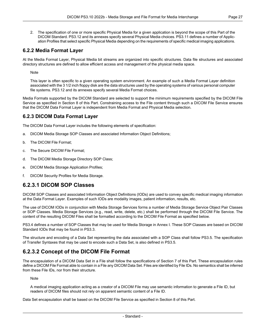2. The specification of one or more specific Physical Media for a given application is beyond the scope of this Part of the DICOM Standard. [PS3.12](part12.pdf#PS3.12) and its annexes specify several Physical Media choices. [PS3.11](part11.pdf#PS3.11) defines a number of Applic ation Profiles that select specific Physical Media depending on the requirements of specific medical imaging applications.

#### <span id="page-26-0"></span>**6.2.2 Media Format Layer**

At the Media Format Layer, Physical Media bit streams are organized into specific structures. Data file structures and associated directory structures are defined to allow efficient access and management of the physical media space.

Note

This layer is often specific to a given operating system environment. An example of such a Media Format Layer definition associated with the 3 1/2 inch floppy disk are the data structures used by the operating systems of various personal computer file systems. [PS3.12](part12.pdf#PS3.12) and its annexes specify several Media Format choices.

<span id="page-26-1"></span>Media Formats supported by the DICOM Standard are selected to support the minimum requirements specified by the DICOM File Service as specified in Section 8 of this Part. Constraining access to the File content through such a DICOM File Service ensures that the DICOM Data Format Layer is independent from Media Format and Physical Media selection.

#### **6.2.3 DICOM Data Format Layer**

The DICOM Data Format Layer includes the following elements of specification:

- a. DICOM Media Storage SOP Classes and associated Information Object Definitions;
- b. The DICOM File Format;
- c. The Secure DICOM File Format;
- d. The DICOM Media Storage Directory SOP Class;
- <span id="page-26-2"></span>e. DICOM Media Storage Application Profiles;
- f. DICOM Security Profiles for Media Storage.

### **6.2.3.1 DICOM SOP Classes**

DICOM SOP Classes and associated Information Object Definitions (IODs) are used to convey specific medical imaging information at the Data Format Layer. Examples of such IODs are modality images, patient information, results, etc.

The use of DICOM IODs in conjunction with Media Storage Services forms a number of Media Storage Service Object Pair Classes or SOP Classes. Media Storage Services (e.g., read, write, delete, etc.) shall be performed through the DICOM File Service. The content of the resulting DICOM Files shall be formatted according to the DICOM File Format as specified below.

<span id="page-26-3"></span>[PS3.4](part04.pdf#PS3.4) defines a number of SOP Classes that may be used for Media Storage in [Annex](part04.pdf#chapter_I) I. These SOP Classes are based on DICOM Standard IODs that may be found in [PS3.3](part03.pdf#PS3.3).

The structure and encoding of a Data Set representing the data associated with a SOP Class shall follow [PS3.5.](part05.pdf#PS3.5) The specification of Transfer Syntaxes that may be used to encode such a Data Set, is also defined in [PS3.5.](part05.pdf#PS3.5)

### **6.2.3.2 Concept of the DICOM File Format**

The encapsulation of a DICOM Data Set in a File shall follow the specifications of Section 7 of this Part. These encapsulation rules define a DICOM File Format able to contain in a File any DICOM Data Set. Files are identified by File IDs. No semantics shall be inferred from these File IDs, nor from their structure.

Note

A medical imaging application acting as a creator of a DICOM File may use semantic information to generate a File ID, but readers of DICOM files should not rely on apparent semantic content of a File ID.

Data Set encapsulation shall be based on the DICOM File Service as specified in Section 8 of this Part.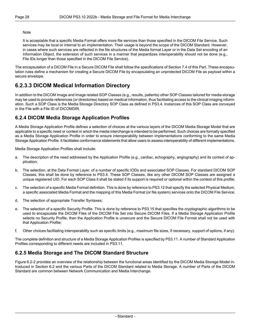#### **Note**

It is acceptable that a specific Media Format offers more file services than those specified in the DICOM File Service. Such services may be local or internal to an implementation. Their usage is beyond the scope of the DICOM Standard. However, in cases where such services are reflected in the file structures of the Media format Layer or in the Data Set encoding of an Information Object, the extension of such services in a manner that jeopardizes interoperability should not be done (e.g., File IDs longer than those specified in the DICOM File Service).

<span id="page-27-0"></span>The encapsulation of a DICOM File in a Secure DICOM File shall follow the specifications of [Section](#page-34-0) 7.4 of this Part. These encapsu lation rules define a mechanism for creating a Secure DICOM File by encapsulating an unprotected DICOM File as payload within a secure envelope.

### **6.2.3.3 DICOM Medical Information Directory**

<span id="page-27-1"></span>In addition to the DICOM Image and Image related SOP Classes (e.g., results, patients) other SOP Classes tailored for media storage may be used to provide references (or directories) based on medical information, thus facilitating access to the clinical imaging inform ation. Such a SOP Class is the Media Storage Directory SOP Class as defined in [PS3.4](part04.pdf#PS3.4). Instances of this SOP Class are conveyed in the File with a File ID of DICOMDIR.

#### **6.2.4 DICOM Media Storage Application Profiles**

A Media Storage Application Profile defines a selection of choices at the various layers of the DICOM Media Storage Model that are applicable to a specific need or context in which the media interchange is intended to be performed. Such choices are formally specified as a Media Storage Application Profile in order to ensure interoperability between implementations conforming to the same Media Storage Application Profile. It facilitates conformance statements that allow users to assess interoperability of different implementations.

Media Storage Application Profiles shall include:

- a. The description of the need addressed by the Application Profile (e.g., cardiac, echography, angiography) and its context of ap plication;
- b. The selection, at the Data Format Layer, of a number of specific IODs and associated SOP Classes. For standard DICOM SOP Classes, this shall be done by reference to [PS3.4.](part04.pdf#PS3.4) These SOP Classes, like any other DICOM SOP Classes are assigned a unique registered UID. For each SOP Class it shall be stated if its support is required or optional within the context of this profile;
- c. The selection of a specific Media Format definition. This is done by reference to [PS3.12](part12.pdf#PS3.12) that specify the selected Physical Medium, a specific associated Media Format and the mapping of this Media Format (or file system) services onto the DICOM File Service;
- d. The selection of appropriate Transfer Syntaxes;
- e. The selection of a specific Security Profile. This is done by reference to [PS3.15](part15.pdf#PS3.15) that specifies the cryptographic algorithms to be used to encapsulate the DICOM Files of the DICOM File Set into Secure DICOM Files. If a Media Storage Application Profile selects no Security Profile, then the Application Profile is unsecure and the Secure DICOM File Format shall not be used with that Application Profile;
- <span id="page-27-2"></span>f. Other choices facilitating interoperability such as specific limits (e.g., maximum file sizes, if necessary, support of options, if any).

The complete definition and structure of a Media Storage Application Profiles is specified by [PS3.11](part11.pdf#PS3.11). A number of Standard Application Profiles corresponding to different needs are included in [PS3.11](part11.pdf#PS3.11).

#### **6.2.5 Media Storage and The DICOM Standard Structure**

[Figure](#page-28-0) 6.2-2 provides an overview of the relationship between the functional areas identified by the DICOM Media Storage Model in troduced in [Section](#page-25-0) 6.2 and the various Parts of the DICOM Standard related to Media Storage. A number of Parts of the DICOM Standard are common between Network Communication and Media Interchange.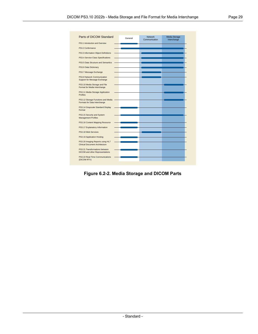<span id="page-28-0"></span>

| Parts of DICOM Standard                                                  | General | <b>Network</b><br>Communication | Media Storage<br>Interchange |
|--------------------------------------------------------------------------|---------|---------------------------------|------------------------------|
| PS3.1 Introduction and Overview                                          |         |                                 |                              |
| PS3.2 Conformance                                                        |         |                                 |                              |
| PS3.3 Information Object Definitions                                     |         |                                 |                              |
| PS3.4 Service Class Specifications                                       |         |                                 |                              |
| PS3.5 Data Structure and Semantics                                       |         |                                 |                              |
| PS3.6 Data Dictionary                                                    |         |                                 |                              |
| PS3.7 Message Exchange                                                   |         |                                 |                              |
| PS3.8 Network Communication<br>Support for Message Exchange              |         |                                 |                              |
| PS3.10 Media Storage and File<br>Format for Media Interchange            |         |                                 |                              |
| PS3.11 Media Storage Application<br><b>Profiles</b>                      |         |                                 |                              |
| PS3.12 Storage Functions and Media<br>Formats for Data Interchange       |         |                                 |                              |
| PS3.14 Grayscale Standard Display<br>Format                              |         |                                 |                              |
| PS3.15 Security and System<br><b>Management Profiles</b>                 |         |                                 |                              |
| PS3.16 Content Mapping Resource                                          |         |                                 |                              |
| PS3.17 Explanatory Information                                           |         |                                 |                              |
| PS3.18 Web Services                                                      |         |                                 |                              |
| PS3.19 Application Hosting                                               |         |                                 |                              |
| PS3.20 Imaging Reports using HL7<br>Clinical Document Architecture       |         |                                 |                              |
| PS3.21 Transformations between<br><b>DICOM</b> and other Representations |         |                                 |                              |
| PS3.22 Real-Time Communications<br>(DICOM RTV)                           |         |                                 |                              |

**Figure 6.2-2. Media Storage and DICOM Parts**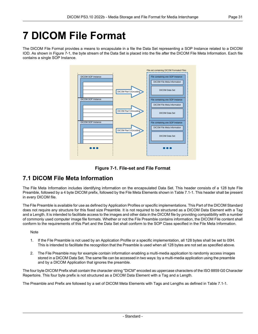# <span id="page-30-0"></span>**7 DICOM File Format**

<span id="page-30-2"></span>The DICOM File Format provides a means to encapsulate in a file the Data Set representing a SOP Instance related to a DICOM IOD. As shown in [Figure](#page-30-2) 7-1, the byte stream of the Data Set is placed into the file after the DICOM File Meta Information. Each file contains a single SOP Instance.





# <span id="page-30-1"></span>**7.1 DICOM File Meta Information**

The File Meta Information includes identifying information on the encapsulated Data Set. This header consists of a 128 byte File Preamble, followed by a 4 byte DICOM prefix, followed by the File Meta Elements shown in [Table](#page-31-0) 7.1-1. This header shall be present in every DICOM file.

The File Preamble is available for use as defined by Application Profiles or specific implementations. This Part of the DICOM Standard does not require any structure for this fixed size Preamble. It is not required to be structured as a DICOM Data Element with a Tag and a Length. It is intended to facilitate access to the images and other data in the DICOM file by providing compatibility with a number of commonly used computer image file formats. Whether or not the File Preamble contains information, the DICOM File content shall conform to the requirements of this Part and the Data Set shall conform to the SOP Class specified in the File Meta Information.

#### **Note**

- 1. If the File Preamble is not used by an Application Profile or a specific implementation, all 128 bytes shall be set to 00H. This is intended to facilitate the recognition that the Preamble is used when all 128 bytes are not set as specified above.
- 2. The File Preamble may for example contain information enabling a multi-media application to randomly access images stored in a DICOM Data Set. The same file can be accessed in two ways: by a multi-media application using the preamble and by a DICOM Application that ignores the preamble.

The four byte DICOM Prefix shall contain the character string "DICM" encoded as uppercase characters of the ISO 8859 G0 Character Repertoire. This four byte prefix is not structured as a DICOM Data Element with a Tag and a Length.

The Preamble and Prefix are followed by a set of DICOM Meta Elements with Tags and Lengths as defined in [Table](#page-31-0) 7.1-1.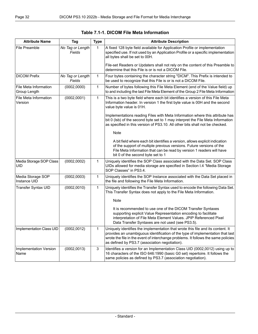<span id="page-31-0"></span>

| <b>Attribute Name</b>                 | Tag                        | <b>Type</b>  | <b>Attribute Description</b>                                                                                                                                                                                                                                                                             |
|---------------------------------------|----------------------------|--------------|----------------------------------------------------------------------------------------------------------------------------------------------------------------------------------------------------------------------------------------------------------------------------------------------------------|
| File Preamble                         | No Tag or Length<br>Fields | $\mathbf{1}$ | A fixed 128 byte field available for Application Profile or implementation<br>specified use. If not used by an Application Profile or a specific implementation<br>all bytes shall be set to 00H.                                                                                                        |
|                                       |                            |              | File-set Readers or Updaters shall not rely on the content of this Preamble to<br>determine that this File is or is not a DICOM File.                                                                                                                                                                    |
| <b>DICOM Prefix</b>                   | No Tag or Length<br>Fields | $\mathbf{1}$ | Four bytes containing the character string "DICM". This Prefix is intended to<br>be used to recognize that this File is or is not a DICOM File.                                                                                                                                                          |
| File Meta Information<br>Group Length | (0002, 0000)               | 1            | Number of bytes following this File Meta Element (end of the Value field) up<br>to and including the last File Meta Element of the Group 2 File Meta Information                                                                                                                                         |
| File Meta Information<br>Version      | (0002,0001)                | $\mathbf{1}$ | This is a two byte field where each bit identifies a version of this File Meta<br>Information header. In version 1 the first byte value is 00H and the second<br>value byte value is 01H.                                                                                                                |
|                                       |                            |              | Implementations reading Files with Meta Information where this attribute has<br>bit 0 (Isb) of the second byte set to 1 may interpret the File Meta Information<br>as specified in this version of PS3.10. All other bits shall not be checked.                                                          |
|                                       |                            |              | Note                                                                                                                                                                                                                                                                                                     |
|                                       |                            |              | A bit field where each bit identifies a version, allows explicit indication<br>of the support of multiple previous versions. Future versions of the<br>File Meta Information that can be read by version 1 readers will have<br>bit 0 of the second byte set to 1                                        |
| Media Storage SOP Class<br>UID        | (0002, 0002)               | 1            | Uniquely identifies the SOP Class associated with the Data Set. SOP Class<br>UIDs allowed for media storage are specified in Section I.4 "Media Storage<br>SOP Classes" in PS3.4.                                                                                                                        |
| Media Storage SOP<br>Instance UID     | (0002, 0003)               | 1            | Uniquely identifies the SOP Instance associated with the Data Set placed in<br>the file and following the File Meta Information.                                                                                                                                                                         |
| Transfer Syntax UID                   | (0002, 0010)               | $\mathbf{1}$ | Uniquely identifies the Transfer Syntax used to encode the following Data Set.<br>This Transfer Syntax does not apply to the File Meta Information.                                                                                                                                                      |
|                                       |                            |              | Note                                                                                                                                                                                                                                                                                                     |
|                                       |                            |              | It is recommended to use one of the DICOM Transfer Syntaxes<br>supporting explicit Value Representation encoding to facilitate<br>interpretation of File Meta Element Values. JPIP Referenced Pixel<br>Data Transfer Syntaxes are not used (see PS3.5).                                                  |
| Implementation Class UID              | (0002, 0012)               | 1            | Uniquely identifies the implementation that wrote this file and its content. It<br>provides an unambiguous identification of the type of implementation that last<br>wrote the file in the event of interchange problems. It follows the same policies<br>as defined by PS3.7 (association negotiation). |
| Implementation Version<br>Name        | (0002, 0013)               | 3            | Identifies a version for an Implementation Class UID (0002,0012) using up to<br>16 characters of the ISO 646:1990 (basic G0 set) repertoire. It follows the<br>same policies as defined by PS3.7 (association negotiation).                                                                              |

| Table 7.1-1. DICOM File Meta Information |  |  |  |  |
|------------------------------------------|--|--|--|--|
|------------------------------------------|--|--|--|--|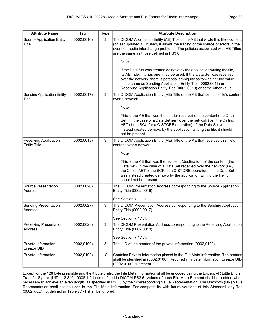| <b>Attribute Name</b>                        | Tag          | <b>Type</b> | <b>Attribute Description</b>                                                                                                                                                                                                                                                                                                                                          |
|----------------------------------------------|--------------|-------------|-----------------------------------------------------------------------------------------------------------------------------------------------------------------------------------------------------------------------------------------------------------------------------------------------------------------------------------------------------------------------|
| <b>Source Application Entity</b><br>Title    | (0002, 0016) | 3           | The DICOM Application Entity (AE) Title of the AE that wrote this file's content<br>(or last updated it). If used, it allows the tracing of the source of errors in the<br>event of media interchange problems. The policies associated with AE Titles<br>are the same as those defined in PS3.8.                                                                     |
|                                              |              |             | Note                                                                                                                                                                                                                                                                                                                                                                  |
|                                              |              |             | If the Data Set was created de novo by the application writing the file,<br>its AE Title, if it has one, may be used. If the Data Set was received<br>over the network, there is potential ambiguity as to whether the value<br>is the same as Sending Application Entity Title (0002,0017) or<br>Receiving Application Entity Title (0002,0018) or some other value. |
| <b>Sending Application Entity</b><br>Title   | (0002, 0017) | 3           | The DICOM Application Entity (AE) Title of the AE that sent this file's content<br>over a network.                                                                                                                                                                                                                                                                    |
|                                              |              |             | Note                                                                                                                                                                                                                                                                                                                                                                  |
|                                              |              |             | This is the AE that was the sender (source) of the content (the Data<br>Set), in the case of a Data Set sent over the network (i.e., the Calling<br>AET of the SCU for a C-STORE operation). If the Data Set was<br>instead created de novo by the application writing the file, it should<br>not be present.                                                         |
| Receiving Application<br><b>Entity Title</b> | (0002, 0018) | 3           | The DICOM Application Entity (AE) Title of the AE that received this file's<br>content over a network.                                                                                                                                                                                                                                                                |
|                                              |              |             | Note                                                                                                                                                                                                                                                                                                                                                                  |
|                                              |              |             | This is the AE that was the recipient (destination) of the content (the<br>Data Set), in the case of a Data Set received over the network (i.e.,<br>the Called AET of the SCP for a C-STORE operation). If the Data Set<br>was instead created de novo by the application writing the file, it<br>should not be present.                                              |
| Source Presentation<br>Address               | (0002, 0026) | 3           | The DICOM Presentation Address corresponding to the Source Application                                                                                                                                                                                                                                                                                                |
|                                              |              |             | Entity Title (0002,0016).<br>See Section 7.1.1.1.                                                                                                                                                                                                                                                                                                                     |
| Sending Presentation                         | (0002, 0027) | 3           | The DICOM Presentation Address corresponding to the Sending Application                                                                                                                                                                                                                                                                                               |
| Address                                      |              |             | Entity Title (0002,0017).                                                                                                                                                                                                                                                                                                                                             |
|                                              |              |             | See Section 7.1.1.1.                                                                                                                                                                                                                                                                                                                                                  |
| Receiving Presentation<br>Address            | (0002, 0028) | 3           | The DICOM Presentation Address corresponding to the Receiving Application<br>Entity Title (0002,0018).                                                                                                                                                                                                                                                                |
|                                              |              |             | See Section 7.1.1.1.                                                                                                                                                                                                                                                                                                                                                  |
| Private Information<br>Creator UID           | (0002, 0100) | 3           | The UID of the creator of the private information (0002,0102).                                                                                                                                                                                                                                                                                                        |
| Private Information                          | (0002, 0102) | 1C          | Contains Private Information placed in the File Meta Information. The creator<br>shall be identified in (0002,0100). Required if Private Information Creator UID<br>(0002,0100) is present.                                                                                                                                                                           |

Except for the 128 byte preamble and the 4 byte prefix, the File Meta Information shall be encoded using the Explicit VR Little Endian Transfer Syntax (UID=1.2.840.10008.1.2.1) as defined in DICOM [PS3.5](part05.pdf#PS3.5). Values of each File Meta Element shall be padded when necessary to achieve an even length, as specified in [PS3.5](part05.pdf#PS3.5) by their corresponding Value Representation. The Unknown (UN) Value Representation shall not be used in the File Meta Information. For compatibility with future versions of this Standard, any Tag (0002,xxxx) not defined in [Table](#page-31-0) 7.1-1 shall be ignored.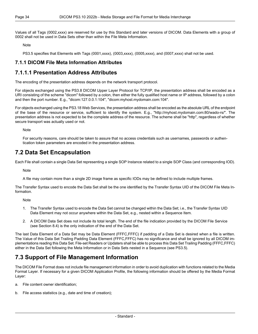Values of all Tags (0002,xxxx) are reserved for use by this Standard and later versions of DICOM. Data Elements with a group of 0002 shall not be used in Data Sets other than within the File Meta Information.

Note

<span id="page-33-0"></span>[PS3.5](part05.pdf#PS3.5) specifies that Elements with Tags (0001,xxxx), (0003,xxxx), (0005,xxxx), and (0007,xxxx) shall not be used.

#### <span id="page-33-1"></span>**7.1.1 DICOM File Meta Information Attributes**

### **7.1.1.1 Presentation Address Attributes**

The encoding of the presentation address depends on the network transport protocol.

For objects exchanged using the [PS3.8](part08.pdf#PS3.8) DICOM Upper Layer Protocol for TCP/IP, the presentation address shall be encoded as a URI consisting of the scheme "dicom" followed by a colon, then either the fully qualified host name or IP address, followed by a colon and then the port number. E.g., "dicom:127.0.0.1:104", "dicom:myhost.mydomain.com:104".

For objects exchanged using the [PS3.18](part18.pdf#PS3.18) Web Services, the presentation address shall be encoded as the absolute URL of the endpoint of the base of the resource or service, sufficient to identify the system. E.g., "http://myhost.mydomain.com:80/wado-rs/". The presentation address is not expected to be the complete address of the resource. The scheme shall be "http", regardless of whether secure transport was actually used or not.

<span id="page-33-2"></span>Note

For security reasons, care should be taken to assure that no access credentials such as usernames, passwords or authen tication token parameters are encoded in the presentation address.

### **7.2 Data Set Encapsulation**

Each File shall contain a single Data Set representing a single SOP Instance related to a single SOP Class (and corresponding IOD).

Note

A file may contain more than a single 2D image frame as specific IODs may be defined to include multiple frames.

The Transfer Syntax used to encode the Data Set shall be the one identified by the Transfer Syntax UID of the DICOM File Meta In formation.

Note

- 1. The Transfer Syntax used to encode the Data Set cannot be changed within the Data Set; i.e., the Transfer Syntax UID Data Element may not occur anywhere within the Data Set, e.g., nested within a Sequence Item.
- 2. A DICOM Data Set does not include its total length. The end of the file indication provided by the DICOM File Service (see [Section](#page-39-0) 8.4) is the only indication of the end of the Data Set.

<span id="page-33-3"></span>The last Data Element of a Data Set may be Data Element (FFFC,FFFC) if padding of a Data Set is desired when a file is written. The Value of this Data Set Trailing Padding Data Element (FFFC,FFFC) has no significance and shall be ignored by all DICOM im plementations reading this Data Set. File-set Readers or Updaters shall be able to process this Data Set Trailing Padding (FFFC,FFFC) either in the Data Set following the Meta Information or in Data Sets nested in a Sequence (see [PS3.5](part05.pdf#PS3.5)).

# **7.3 Support of File Management Information**

The DICOM File Format does not include file management information in order to avoid duplication with functions related to the Media Format Layer. If necessary for a given DICOM Application Profile, the following information should be offered by the Media Format Layer:

- a. File content owner identification;
- b. File access statistics (e.g., date and time of creation);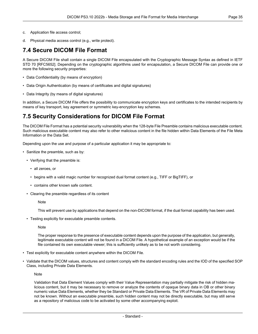- c. Application file access control;
- <span id="page-34-0"></span>d. Physical media access control (e.g., write protect).

### **7.4 Secure DICOM File Format**

A Secure DICOM File shall contain a single DICOM File encapsulated with the Cryptographic Message Syntax as defined in IETF STD 70 [\[RFC5652\]](#page-14-7). Depending on the cryptographic algorithms used for encapsulation, a Secure DICOM File can provide one or more the following security properties:

- Data Confidentiality (by means of encryption)
- Data Origin Authentication (by means of certificates and digital signatures)
- Data Integrity (by means of digital signatures)

<span id="page-34-1"></span>In addition, a Secure DICOM File offers the possibility to communicate encryption keys and certificates to the intended recipients by means of key transport, key agreement or symmetric key-encryption key schemes.

### **7.5 Security Considerations for DICOM File Format**

The DICOM File Format has a potential security vulnerability when the 128-byte File Preamble contains malicious executable content. Such malicious executable content may also refer to other malicious content in the file hidden within Data Elements of the File Meta Information or the Data Set.

Depending upon the use and purpose of a particular application it may be appropriate to:

- Sanitize the preamble, such as by:
	- Verifying that the preamble is:
		- all zeroes, or
		- begins with a valid magic number for recognized dual format content (e.g., TIFF or BigTIFF), or
		- contains other known safe content.
	- Clearing the preamble regardless of its content

**Note** 

This will prevent use by applications that depend on the non-DICOM format, if the dual format capability has been used.

• Testing explicitly for executable preamble contents.

Note

The proper response to the presence of executable content depends upon the purpose of the application, but generally, legitimate executable content will not be found in a DICOM File. A hypothetical example of an exception would be if the file contained its own executable viewer; this is sufficiently unlikely as to be not worth considering.

- Test explicitly for executable content anywhere within the DICOM File.
- Validate that the DICOM values, structures and content comply with the standard encoding rules and the IOD of the specified SOP Class, including Private Data Elements.

**Note** 

Validation that Data Element Values comply with their Value Representation may partially mitigate the risk of hidden ma licious content, but it may be necessary to remove or analyze the contents of opaque binary data in OB or other binary numeric value Data Elements, whether they be Standard or Private Data Elements. The VR of Private Data Elements may not be known. Without an executable preamble, such hidden content may not be directly executable, but may still serve as a repository of malicious code to be activated by some other accompanying exploit.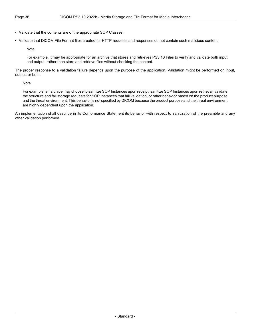• Validate that the contents are of the appropriate SOP Classes.

• Validate that DICOM File Format files created for HTTP requests and responses do not contain such malicious content.

Note

For example, it may be appropriate for an archive that stores and retrieves PS3.10 Files to verify and validate both input and output, rather than store and retrieve files without checking the content.

The proper response to a validation failure depends upon the purpose of the application. Validation might be performed on input, output, or both.

Note

For example, an archive may choose to sanitize SOP Instances upon receipt, sanitize SOP Instances upon retrieval, validate the structure and fail storage requests for SOP Instances that fail validation, or other behavior based on the product purpose and the threat environment. This behavior is not specified by DICOM because the product purpose and the threat environment are highly dependent upon the application.

An implementation shall describe in its Conformance Statement its behavior with respect to sanitization of the preamble and any other validation performed.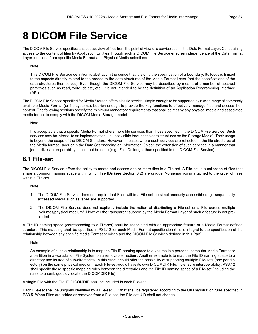# <span id="page-36-0"></span>**8 DICOM File Service**

The DICOM File Service specifies an abstract view of files from the point of view of a service user in the Data Format Layer. Constraining access to the content of files by Application Entities through such a DICOM File Service ensures independence of the Data Format Layer functions from specific Media Format and Physical Media selections.

#### Note

This DICOM File Service definition is abstract in the sense that it is only the specification of a boundary. Its focus is limited to the aspects directly related to the access to the data structures of the Media Format Layer (not the specifications of the data structures themselves). Even though the DICOM File Service may be described by means of a number of abstract primitives such as read, write, delete, etc., it is not intended to be the definition of an Application Programming Interface (API).

The DICOM File Service specified for Media Storage offers a basic service, simple enough to be supported by a wide range of commonly available Media Format (or file systems), but rich enough to provide the key functions to effectively manage files and access their content. The following sections specify the minimum mandatory requirements that shall be met by any physical media and associated media format to comply with the DICOM Media Storage model.

#### **Note**

<span id="page-36-1"></span>It is acceptable that a specific Media Format offers more file services than those specified in the DICOM File Service. Such services may be internal to an implementation (i.e., not visible through the data structures on the Storage Media). Their usage is beyond the scope of the DICOM Standard. However, in cases where such services are reflected in the file structures of the Media format Layer or in the Data Set encoding an Information Object, the extension of such services in a manner that jeopardizes interoperability should not be done (e.g., File IDs longer than specified in the DICOM File Service).

### **8.1 File-set**

The DICOM File Service offers the ability to create and access one or more files in a File-set. A File-set is a collection of files that share a common naming space within which File IDs (see [Section](#page-37-0) 8.2) are unique. No semantics is attached to the order of Files within a File-set.

Note

- 1. The DICOM File Service does not require that Files within a File-set be simultaneously accessible (e.g., sequentially accessed media such as tapes are supported).
- 2. The DICOM File Service does not explicitly include the notion of distributing a File-set or a File across multiple "volumes/physical medium". However the transparent support by the Media Format Layer of such a feature is not pre cluded.

A File ID naming space (corresponding to a File-set) shall be associated with an appropriate feature of a Media Format defined structure. This mapping shall be specified in [PS3.12](part12.pdf#PS3.12) for each Media Format specification (this is integral to the specification of the relationship between any specific Media Format services and the DICOM File Services defined in this Part).

Note

An example of such a relationship is to map the File ID naming space to a volume in a personal computer Media Format or a partition in a workstation File System on a removable medium. Another example is to map the File ID naming space to a directory and its tree of sub-directories. In this case it could offer the possibility of supporting multiple File-sets (one per dir ectory) on the same physical medium. Each File-set would have its own DICOMDIR File. To ensure interoperability, [PS3.12](part12.pdf#PS3.12) shall specify these specific mapping rules between the directories and the File ID naming space of a File-set (including the rules to unambiguously locate the DICOMDIR File).

A single File with the File ID DICOMDIR shall be included in each File-set.

Each File-set shall be uniquely identified by a File-set UID that shall be registered according to the UID registration rules specified in [PS3.5](part05.pdf#PS3.5). When Files are added or removed from a File-set, the File-set UID shall not change.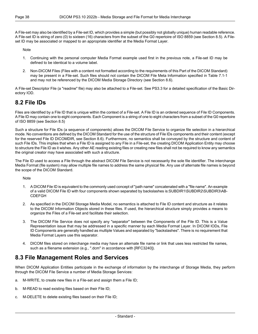A File-set may also be identified by a File-set ID, which provides a simple (but possibly not globally unique) human readable reference. A File-set ID is string of zero (0) to sixteen (16) characters from the subset of the G0 repertoire of ISO 8859 (see [Section](#page-39-1) 8.5). A File set ID may be associated or mapped to an appropriate identifier at the Media Format Layer.

Note

- 1. Continuing with the personal computer Media Format example used first in the previous note, a File-set ID may be defined to be identical to a volume label.
- 2. Non-DICOM Files (Files with a content not formatted according to the requirements of this Part of the DICOM Standard) may be present in a File-set. Such files should not contain the DICOM File Meta Information specified in [Table](#page-31-0) 7.1-1 and may not be referenced by the DICOM Media Storage Directory (see [Section](#page-39-2) 8.6).

<span id="page-37-0"></span>A File-set Descriptor File (a "readme" file) may also be attached to a File-set. See [PS3.3](part03.pdf#PS3.3) for a detailed specification of the Basic Dir ectory IOD.

# **8.2 File IDs**

Files are identified by a File ID that is unique within the context of a File-set. A File ID is an ordered sequence of File ID Components. A File ID may contain one to eight components. Each Component is a string of one to eight characters from a subset of the G0 repertoire of ISO 8859 (see [Section](#page-39-1) 8.5)

Such a structure for File IDs (a sequence of components) allows the DICOM File Service to organize file selection in a hierarchical mode. No conventions are defined by the DICOM Standard for the use of the structure of File IDs components and their content (except for the reserved File ID DICOMDIR, see [Section](#page-39-2) 8.6). Furthermore, no semantics shall be conveyed by the structure and content of such File IDs. This implies that when a File ID is assigned to any File in a File-set, the creating DICOM Application Entity may choose to structure the File ID as it wishes. Any other AE reading existing files or creating new files shall not be required to know any semantics the original creator may have associated with such a structure.

The File ID used to access a File through the abstract DICOM File Service is not necessarily the sole file identifier. The interchange Media Format (file system) may allow multiple file names to address the same physical file. Any use of alternate file names is beyond the scope of the DICOM Standard.

**Note** 

- 1. A DICOM File ID is equivalent to the commonly used concept of "path name" concatenated with a "file name". An example of a valid DICOM File ID with four components shown separated by backslashes is:SUBDIR1\SUBDIR2\SUBDIR3\AB- CDEFGH
- 2. As specified in the DICOM Storage Media Model, no semantics is attached to File ID content and structure as it relates to the DICOM Information Objects stored in these files. If used, the hierarchical structure simply provides a means to organize the Files of a File-set and facilitate their selection.
- <span id="page-37-1"></span>3. The DICOM File Service does not specify any "separator" between the Components of the File ID. This is a Value Representation issue that may be addressed in a specific manner by each Media Format Layer. In DICOM IODs, File ID Components are generally handled as multiple Values and separated by "backslashes". There is no requirement that Media Format Layers use this separator.
- 4. DICOM files stored on interchange media may have an alternate file name or link that uses less restricted file names, such as a filename extension (e.g., ".dcm" in accordance with [\[RFC3240\]](#page-14-8)).

### **8.3 File Management Roles and Services**

When DICOM Application Entities participate in the exchange of information by the interchange of Storage Media, they perform through the DICOM File Service a number of Media Storage Services:

- a. M-WRITE, to create new files in a File-set and assign them a File ID;
- b. M-READ to read existing files based on their File ID;
- c. M-DELETE to delete existing files based on their File ID;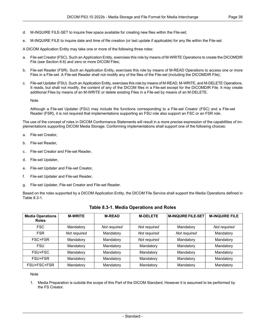- d. M-INQUIRE FILE-SET to inquire free space available for creating new files within the File-set;
- e. M-INQUIRE FILE to inquire date and time of file creation (or last update if applicable) for any file within the File-set.

A DICOM Application Entity may take one or more of the following three roles:

- a. File-set Creator (FSC). Such an Application Entity, exercises this role by means of M-WRITE Operations to create the DICOMDIR File (see [Section](#page-39-2) 8.6) and zero or more DICOM Files;
- b. File-set Reader (FSR). Such an Application Entity, exercises this role by means of M-READ Operations to access one or more Files in a File-set. A File-set Reader shall not modify any of the files of the File-set (including the DICOMDIR File);
- c. File-set Updater (FSU). Such an Application Entity, exercises this role by means of M-READ, M-WRITE, and M-DELETE Operations. It reads, but shall not modify, the content of any of the DICOM files in a File-set except for the DICOMDIR File. It may create additional Files by means of an M-WRITE or delete existing Files in a File-set by means of an M-DELETE.

Note

Although a File-set Updater (FSU) may include the functions corresponding to a File-set Creator (FSC) and a File-set Reader (FSR), it is not required that implementations supporting an FSU role also support an FSC or an FSR role.

The use of the concept of roles in DICOM Conformance Statements will result in a more precise expression of the capabilities of im plementations supporting DICOM Media Storage. Conforming implementations shall support one of the following choices:

- a. File-set Creator,
- b. File-set Reader,
- c. File-set Creator and File-set Reader,
- d. File-set Updater,
- e. File-set Updater and File-set Creator,
- f. File-set Updater and File-set Reader,
- <span id="page-38-0"></span>g. File-set Updater, File-set Creator and File-set Reader.

Based on the roles supported by a DICOM Application Entity, the DICOM File Service shall support the Media Operations defined in [Table](#page-38-0) 8.3-1.

| <b>Media Operations</b><br><b>Roles</b> | <b>M-WRITE</b> | <b>M-READ</b> | <b>M-DELETE</b> | <b>M-INQUIRE FILE-SET</b> | <b>M-INQUIRE FILE</b> |
|-----------------------------------------|----------------|---------------|-----------------|---------------------------|-----------------------|
| <b>FSC</b>                              | Mandatory      | Not required  | Not required    | Mandatory                 | Not required          |
| <b>FSR</b>                              | Not required   | Mandatory     | Not required    | Not required              | Mandatory             |
| FSC+FSR                                 | Mandatory      | Mandatory     | Not required    | Mandatory                 | Mandatory             |
| <b>FSU</b>                              | Mandatory      | Mandatory     | Mandatory       | Mandatory                 | Mandatory             |
| FSU+FSC                                 | Mandatory      | Mandatory     | Mandatory       | Mandatory                 | Mandatory             |
| FSU+FSR                                 | Mandatory      | Mandatory     | Mandatory       | Mandatory                 | Mandatory             |
| FSU+FSC+FSR                             | Mandatory      | Mandatory     | Mandatory       | Mandatory                 | Mandatory             |

#### **Table 8.3-1. Media Operations and Roles**

#### Note

1. Media Preparation is outside the scope of this Part of the DICOM Standard. However it is assumed to be performed by the FS Creator.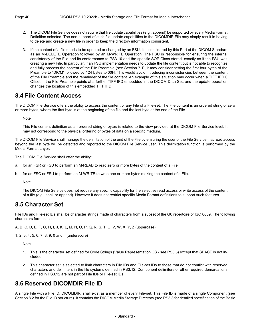- 2. The DICOM File Service does not require that file update capabilities (e.g., append) be supported by every Media Format Definition selected. The non-support of such file update capabilities to the DICOMDIR File may simply result in having to delete and create a new file in order to keep the directory information consistent.
- 3. If the content of a file needs to be updated or changed by an FSU, it is considered by this Part of the DICOM Standard as an M-DELETE Operation followed by an M-WRITE Operation. The FSU is responsible for ensuring the internal consistency of the File and its conformance to PS3.10 and the specific SOP Class stored, exactly as if the FSU was creating a new File. In particular, if an FSU implementation needs to update the file content but is not able to recognize and fully process the content of the File Preamble (see [Section](#page-30-1) 7.1), it may consider setting the first four bytes of the Preamble to "DICM" followed by 124 bytes to 00H. This would avoid introducing inconsistencies between the content of the File Preamble and the remainder of the file content. An example of this situation may occur when a TIFF IFD 0 Offset in the File Preamble points at a further TIFF IFD embedded in the DICOM Data Set, and the update operation changes the location of this embedded TIFF IFD.

### <span id="page-39-0"></span>**8.4 File Content Access**

The DICOM File Service offers the ability to access the content of any File of a File-set. The File content is an ordered string of zero or more bytes, where the first byte is at the beginning of the file and the last byte at the end of the File.

**Note** 

This File content definition as an ordered string of bytes is related to the view provided at the DICOM File Service level. It may not correspond to the physical ordering of bytes of data on a specific medium.

The DICOM File Service shall manage the delimitation of the end of the File by ensuring the user of the File Service that read access beyond the last byte will be detected and reported to the DICOM File Service user. This delimitation function is performed by the Media Format Layer.

The DICOM File Service shall offer the ability:

- a. for an FSR or FSU to perform an M-READ to read zero or more bytes of the content of a File;
- <span id="page-39-1"></span>b. for an FSC or FSU to perform an M-WRITE to write one or more bytes making the content of a File.

Note

The DICOM File Service does not require any specific capability for the selective read access or write access of the content of a file (e.g., seek or append). However it does not restrict specific Media Format definitions to support such features.

### **8.5 Character Set**

File IDs and File-set IDs shall be character strings made of characters from a subset of the G0 repertoire of ISO 8859. The following characters form this subset:

A, B, C, D, E, F, G, H, I, J, K, L, M, N, O, P, Q, R, S, T, U, V, W, X, Y, Z (uppercase)

1, 2, 3, 4, 5, 6, 7, 8, 9, 0 and \_ (underscore)

**Note** 

- <span id="page-39-2"></span>1. This is the character set defined for Code Strings (Value Representation CS - see [PS3.5\)](part05.pdf#PS3.5) except that SPACE is not in cluded.
- 2. This character set is selected to limit characters in File IDs and File-set IDs to those that do not conflict with reserved characters and delimiters in the file systems defined in [PS3.12](part12.pdf#PS3.12). Component delimiters or other required demarcations defined in [PS3.12](part12.pdf#PS3.12) are not part of File IDs or File-set IDs

# **8.6 Reserved DICOMDIR File ID**

A single File with a File ID, DICOMDIR, shall exist as a member of every File-set. This File ID is made of a single Component (see [Section](#page-37-0) 8.2 for the File ID structure). It contains the DICOM Media Storage Directory (see [PS3.3](part03.pdf#PS3.3) for detailed specification of the Basic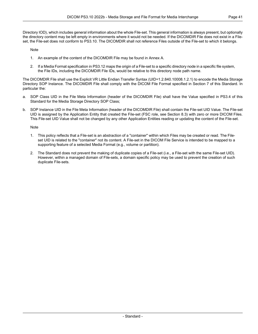Directory IOD), which includes general information about the whole File-set. This general information is always present, but optionally the directory content may be left empty in environments where it would not be needed. If the DICOMDIR File does not exist in a File set, the File-set does not conform to PS3.10. The DICOMDIR shall not reference Files outside of the File-set to which it belongs.

Note

- 1. An example of the content of the DICOMDIR File may be found in [Annex](#page-44-0) A.
- 2. If a Media Format specification in [PS3.12](part12.pdf#PS3.12) maps the origin of a File-set to a specific directory node in a specific file system, the File IDs, including the DICOMDIR File IDs, would be relative to this directory node path name.

The DICOMDIR File shall use the Explicit VR Little Endian Transfer Syntax (UID=1.2.840.10008.1.2.1) to encode the Media Storage Directory SOP Instance. The DICOMDIR File shall comply with the DICOM File Format specified in Section 7 of this Standard. In particular the:

- a. SOP Class UID in the File Meta Information (header of the DICOMDIR File) shall have the Value specified in [PS3.4](part04.pdf#PS3.4) of this Standard for the Media Storage Directory SOP Class;
- b. SOP Instance UID in the File Meta Information (header of the DICOMDIR File) shall contain the File-set UID Value. The File-set UID is assigned by the Application Entity that created the File-set (FSC role, see [Section](#page-37-1) 8.3) with zero or more DICOM Files. This File-set UID Value shall not be changed by any other Application Entities reading or updating the content of the File-set.

Note

- 1. This policy reflects that a File-set is an abstraction of a "container" within which Files may be created or read. The File set UID is related to the "container" not its content. A File-set in the DICOM File Service is intended to be mapped to a supporting feature of a selected Media Format (e.g., volume or partition).
- 2. The Standard does not prevent the making of duplicate copies of a File-set (i.e., a File-set with the same File-set UID). However, within a managed domain of File-sets, a domain specific policy may be used to prevent the creation of such duplicate File-sets.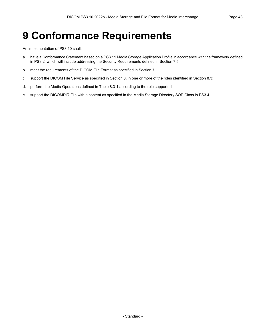# <span id="page-42-0"></span>**9 Conformance Requirements**

An implementation of PS3.10 shall:

- a. have a Conformance Statement based on a [PS3.11](part11.pdf#PS3.11) Media Storage Application Profile in accordance with the framework defined in [PS3.2,](part02.pdf#PS3.2) which will include addressing the Security Requirements defined in [Section](#page-34-1) 7.5;
- b. meet the requirements of the DICOM File Format as specified in [Section](#page-30-0) 7;
- c. support the DICOM File Service as specified in [Section](#page-36-0) 8, in one or more of the roles identified in [Section](#page-37-1) 8.3;
- d. perform the Media Operations defined in [Table](#page-38-0) 8.3-1 according to the role supported;
- e. support the DICOMDIR File with a content as specified in the Media Storage Directory SOP Class in [PS3.4.](part04.pdf#PS3.4)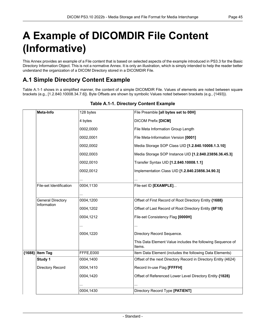# <span id="page-44-0"></span>**A Example of DICOMDIR File Content (Informative)**

<span id="page-44-1"></span>This Annex provides an example of a File content that is based on selected aspects of the example introduced in [PS3.3](part03.pdf#PS3.3) for the Basic Directory Information Object. This is not a normative Annex. It is only an illustration, which is simply intended to help the reader better understand the organization of a DICOM Directory stored in a DICOMDIR File.

# **A.1 Simple Directory Content Example**

<span id="page-44-2"></span>[Table](#page-44-2) A.1-1 shows in a simplified manner, the content of a simple DICOMDIR File. Values of elements are noted between square brackets (e.g., [1.2.840.10008.34.7.6]). Byte Offsets are shown by symbolic Values noted between brackets (e.g., {1493}).

| Meta-Info                               | 128 bytes | File Preamble [all bytes set to 00H]                                 |
|-----------------------------------------|-----------|----------------------------------------------------------------------|
|                                         | 4 bytes   | <b>DICOM Prefix [DICM]</b>                                           |
|                                         | 0002.0000 | File Meta Information Group Length                                   |
|                                         | 0002,0001 | File Meta-Information Version [0001]                                 |
|                                         | 0002,0002 | Media Storage SOP Class UID [1.2.840.10008.1.3.10]                   |
|                                         | 0002,0003 | Media Storage SOP Instance UID [1.2.840.23856.36.45.3]               |
|                                         | 0002,0010 | Transfer Syntax UID [1.2.840.10008.1.1]                              |
|                                         | 0002,0012 | Implementation Class UID [1.2.840.23856.34.90.3]                     |
|                                         |           |                                                                      |
| File-set Identification                 | 0004,1130 | File-set ID [EXAMPLE]                                                |
|                                         |           |                                                                      |
| <b>General Directory</b><br>Information | 0004,1200 | Offset of First Record of Root Directory Entity {1688}               |
|                                         | 0004,1202 | Offset of Last Record of Root Directory Entity {6F18}                |
|                                         | 0004,1212 | File-set Consistency Flag [0000H]                                    |
|                                         |           |                                                                      |
|                                         | 0004,1220 | Directory Record Sequence.                                           |
|                                         |           | This Data Element Value includes the following Sequence of<br>Items. |
| {1688} Item Tag                         | FFFE,E000 | Item Data Element (includes the following Data Elements)             |
| Study 1                                 | 0004,1400 | Offset of the next Directory Record in Directory Entity {4624}       |
| Directory Record                        | 0004,1410 | Record In-use Flag [FFFFH]                                           |
|                                         | 0004,1420 | Offset of Referenced Lower Level Directory Entity {1828}             |
|                                         |           |                                                                      |
|                                         | 0004,1430 | Directory Record Type [PATIENT]                                      |

#### **Table A.1-1. Directory Content Example**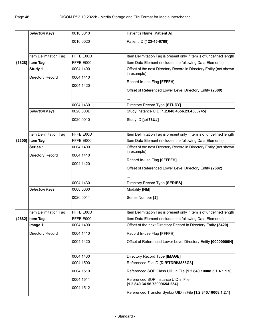|          | Selection Keys        | 0010,0010 | Patient's Name [Patient A]                                                        |
|----------|-----------------------|-----------|-----------------------------------------------------------------------------------|
|          |                       | 0010,0020 | Patient ID [123-45-6789]                                                          |
|          |                       |           |                                                                                   |
|          |                       |           |                                                                                   |
|          | Item Delimitation Tag | FFFE,E00D | Item Delimitation Tag is present only if Item is of undefined length              |
| ${1828}$ | <b>Item Tag</b>       | FFFE,E000 | Item Data Element (includes the following Data Elements)                          |
|          | Study 1               | 0004,1400 | Offset of the next Directory Record in Directory Entity (not shown<br>in example) |
|          | Directory Record      | 0004,1410 |                                                                                   |
|          |                       | 0004,1420 | Record In-use Flag [FFFFH]                                                        |
|          |                       |           | Offset of Referenced Lower Level Directory Entity {2300}                          |
|          |                       |           |                                                                                   |
|          |                       | 0004,1430 | Directory Record Type [STUDY]                                                     |
|          | Selection Keys        | 0020,000D | Study Instance UID [1.2.840.4656.23.4568745]                                      |
|          |                       |           |                                                                                   |
|          |                       | 0020,0010 | Study ID [srt78UJ]                                                                |
|          |                       |           |                                                                                   |
|          | Item Delimitation Tag | FFFE,E00D | Item Delimitation Tag is present only if Item is of undefined length              |
|          | {2300} Item Tag       | FFFE,E000 | Item Data Element (includes the following Data Elements)                          |
|          | Series 1              | 0004,1400 | Offset of the next Directory Record in Directory Entity (not shown                |
|          | Directory Record      | 0004,1410 | in example)                                                                       |
|          |                       | 0004,1420 | Record In-use Flag [OFFFFH]                                                       |
|          |                       |           | Offset of Referenced Lower Level Directory Entity {2682}                          |
|          |                       |           |                                                                                   |
|          |                       | 0004,1430 | Directory Record Type [SERIES]                                                    |
|          | Selection Keys        | 0008,0060 | Modality [NM]                                                                     |
|          |                       |           |                                                                                   |
|          |                       | 0020,0011 | Series Number [2]                                                                 |
|          |                       |           |                                                                                   |
|          | Item Delimitation Tag | FFFE,E00D | Item Delimitation Tag is present only if Item is of undefined length              |
|          | ${2682}$ Item Tag     | FFFE,E000 | Item Data Element (includes the following Data Elements)                          |
|          | Image 1               | 0004,1400 | Offset of the next Directory Record in Directory Entity {3420}                    |
|          | Directory Record      | 0004,1410 | Record In-use Flag [FFFFH]                                                        |
|          |                       | 0004,1420 | Offset of Referenced Lower Level Directory Entity [00000000H]                     |
|          |                       |           |                                                                                   |
|          |                       | 0004,1430 | Directory Record Type [IMAGE]                                                     |
|          |                       | 0004,1500 | Referenced File ID [DIR\TDRI\3856G3]                                              |
|          |                       | 0004,1510 | Referenced SOP Class UID in File [1.2.840.10008.5.1.4.1.1.5]                      |
|          |                       |           |                                                                                   |
|          |                       | 0004,1511 | Referenced SOP Instance UID in File<br>[1.2.840.34.56.78999654.234]               |
|          |                       | 0004,1512 |                                                                                   |
|          |                       |           | Referenced Transfer Syntax UID in File [1.2.840.10008.1.2.1]                      |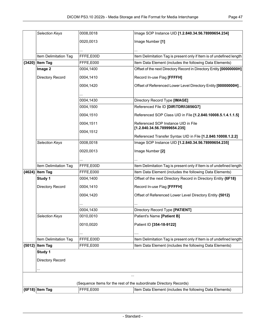|        | Selection Keys        | 0008,0018 | Image SOP Instance UID [1.2.840.34.56.78999654.234]                  |
|--------|-----------------------|-----------|----------------------------------------------------------------------|
|        |                       | 0020,0013 | Image Number [1]                                                     |
|        |                       |           |                                                                      |
|        |                       |           |                                                                      |
|        | Item Delimitation Tag | FFFE,E00D | Item Delimitation Tag is present only if Item is of undefined length |
| (3420) | <b>Item Tag</b>       | FFFE,E000 | Item Data Element (includes the following Data Elements)             |
|        | Image 2               | 0004,1400 | Offset of the next Directory Record in Directory Entity [00000000H]  |
|        | Directory Record      | 0004,1410 | Record In-use Flag [FFFFH]                                           |
|        |                       | 0004,1420 | Offset of Referenced Lower Level Directory Entity [00000000H]        |
|        |                       | 0004,1430 | Directory Record Type [IMAGE]                                        |
|        |                       | 0004,1500 | Referenced File ID [DIR\TDRI\3856G7]                                 |
|        |                       |           |                                                                      |
|        |                       | 0004,1510 | Referenced SOP Class UID in File [1.2.840.10008.5.1.4.1.1.5]         |
|        |                       | 0004,1511 | Referenced SOP Instance UID in File<br>[1.2.840.34.56.78999654.235]  |
|        |                       | 0004,1512 | Referenced Transfer Syntax UID in File [1.2.840.10008.1.2.2]         |
|        | Selection Keys        | 0008,0018 | Image SOP Instance UID [1.2.840.34.56.78999654.235]                  |
|        |                       | 0020,0013 | Image Number [2]                                                     |
|        |                       |           |                                                                      |
|        | Item Delimitation Tag | FFFE,E00D | Item Delimitation Tag is present only if Item is of undefined length |
|        | {4624} Item Tag       | FFFE,E000 | Item Data Element (includes the following Data Elements)             |
|        | Study 1               | 0004,1400 | Offset of the next Directory Record in Directory Entity {6F18}       |
|        | Directory Record      | 0004,1410 | Record In-use Flag [FFFFH]                                           |
|        |                       | 0004,1420 | Offset of Referenced Lower Level Directory Entity {5012}             |
|        |                       |           |                                                                      |
|        |                       | 0004,1430 | Directory Record Type [PATIENT]                                      |
|        | <b>Selection Keys</b> | 0010,0010 | Patient's Name [Patient B]                                           |
|        |                       | 0010,0020 | Patient ID [354-18-9122]                                             |
|        |                       |           |                                                                      |
|        | Item Delimitation Tag | FFFE,E00D | Item Delimitation Tag is present only if Item is of undefined length |
|        | {5012} Item Tag       | FFFE,E000 | Item Data Element (includes the following Data Elements)             |
|        | Study 1               |           |                                                                      |
|        | Directory Record      |           |                                                                      |
|        |                       |           |                                                                      |
|        |                       |           | $\ddotsc$                                                            |
|        |                       |           | (Sequence Items for the rest of the subordinate Directory Records)   |
|        | {6F18} Item Tag       | FFFE,E000 | Item Data Element (includes the following Data Elements)             |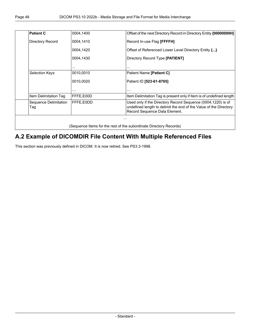| <b>Patient C</b>             | 0004,1400 | Offset of the next Directory Record in Directory Entity {00000000H}                                                                                                |
|------------------------------|-----------|--------------------------------------------------------------------------------------------------------------------------------------------------------------------|
| Directory Record             | 0004,1410 | Record In-use Flag [FFFFH]                                                                                                                                         |
|                              | 0004,1420 | Offset of Referenced Lower Level Directory Entity {}                                                                                                               |
|                              | 0004,1430 | Directory Record Type [PATIENT]                                                                                                                                    |
|                              | .         | .                                                                                                                                                                  |
| <b>Selection Keys</b>        | 0010,0010 | Patient Name [Patient C]                                                                                                                                           |
|                              | 0010,0020 | Patient ID [523-61-8765]                                                                                                                                           |
|                              | .         | .                                                                                                                                                                  |
| Item Delimitation Tag        | FFFE,E00D | Item Delimitation Tag is present only if Item is of undefined length                                                                                               |
| Sequence Delimitation<br>Tag | FFFE.E0DD | Used only if the Directory Record Sequence (0004,1220) is of<br>undefined length to delimit the end of the Value of the Directory<br>Record Sequence Data Element. |

# <span id="page-47-0"></span>**A.2 Example of DICOMDIR File Content With Multiple Referenced Files**

This section was previously defined in DICOM. It is now retired. See PS3.3-1998.